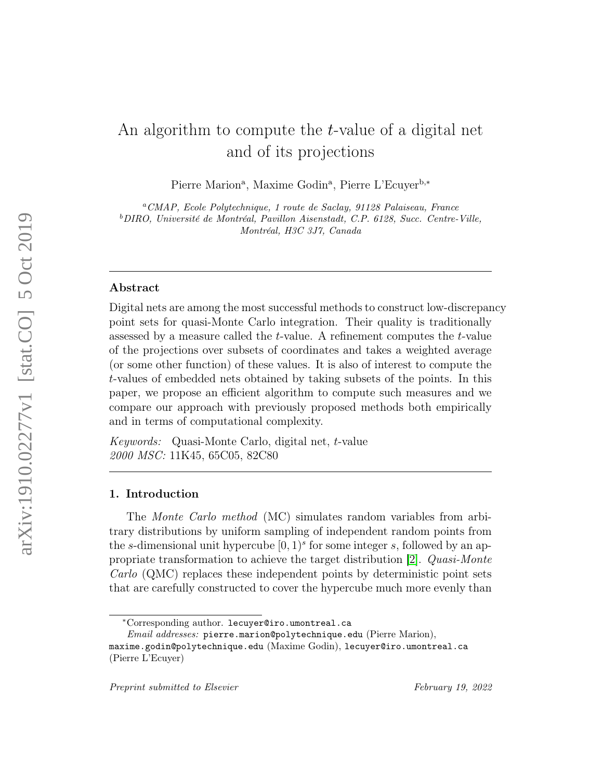# An algorithm to compute the t-value of a digital net and of its projections

Pierre Marion<sup>a</sup>, Maxime Godin<sup>a</sup>, Pierre L'Ecuyer<sup>b,\*</sup>

<sup>a</sup>CMAP, Ecole Polytechnique, 1 route de Saclay, 91128 Palaiseau, France <sup>b</sup>DIRO, Université de Montréal, Pavillon Aisenstadt, C.P. 6128, Succ. Centre-Ville, Montréal, H3C 3J7, Canada

## Abstract

Digital nets are among the most successful methods to construct low-discrepancy point sets for quasi-Monte Carlo integration. Their quality is traditionally assessed by a measure called the t-value. A refinement computes the t-value of the projections over subsets of coordinates and takes a weighted average (or some other function) of these values. It is also of interest to compute the t-values of embedded nets obtained by taking subsets of the points. In this paper, we propose an efficient algorithm to compute such measures and we compare our approach with previously proposed methods both empirically and in terms of computational complexity.

Keywords: Quasi-Monte Carlo, digital net, t-value 2000 MSC: 11K45, 65C05, 82C80

# 1. Introduction

The Monte Carlo method (MC) simulates random variables from arbitrary distributions by uniform sampling of independent random points from the s-dimensional unit hypercube  $[0, 1)$ <sup>s</sup> for some integer s, followed by an appropriate transformation to achieve the target distribution [\[2\]](#page-21-0). Quasi-Monte Carlo (QMC) replaces these independent points by deterministic point sets that are carefully constructed to cover the hypercube much more evenly than

<sup>∗</sup>Corresponding author. lecuyer@iro.umontreal.ca

 $Email \ addresses:$  pierre.marion@polytechnique.edu (Pierre Marion),

maxime.godin@polytechnique.edu (Maxime Godin), lecuyer@iro.umontreal.ca (Pierre L'Ecuyer)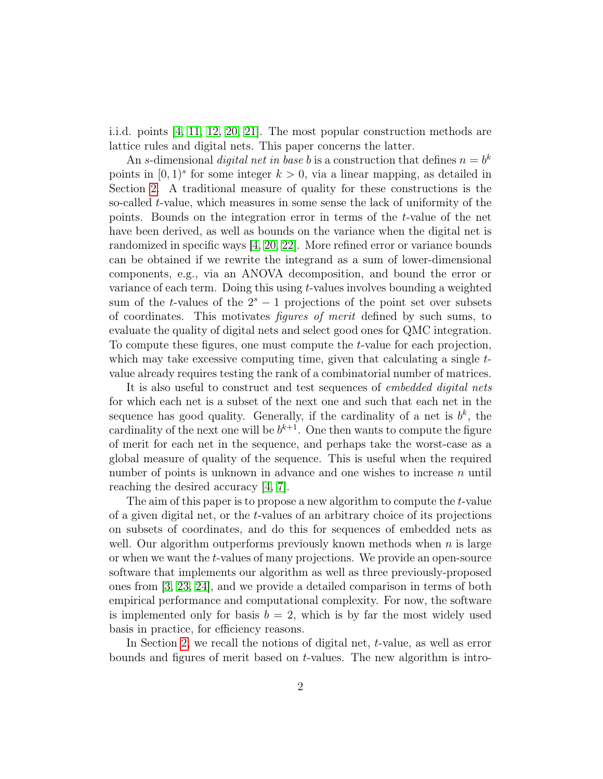i.i.d. points [\[4,](#page-21-1) [11,](#page-22-0) [12,](#page-22-1) [20,](#page-23-0) [21\]](#page-23-1). The most popular construction methods are lattice rules and digital nets. This paper concerns the latter.

An s-dimensional *digital net in base b* is a construction that defines  $n = b^k$ points in  $[0, 1)^s$  for some integer  $k > 0$ , via a linear mapping, as detailed in Section [2.](#page-2-0) A traditional measure of quality for these constructions is the so-called t-value, which measures in some sense the lack of uniformity of the points. Bounds on the integration error in terms of the t-value of the net have been derived, as well as bounds on the variance when the digital net is randomized in specific ways [\[4,](#page-21-1) [20,](#page-23-0) [22\]](#page-23-2). More refined error or variance bounds can be obtained if we rewrite the integrand as a sum of lower-dimensional components, e.g., via an ANOVA decomposition, and bound the error or variance of each term. Doing this using t-values involves bounding a weighted sum of the t-values of the  $2<sup>s</sup> - 1$  projections of the point set over subsets of coordinates. This motivates figures of merit defined by such sums, to evaluate the quality of digital nets and select good ones for QMC integration. To compute these figures, one must compute the t-value for each projection, which may take excessive computing time, given that calculating a single  $t$ value already requires testing the rank of a combinatorial number of matrices.

It is also useful to construct and test sequences of *embedded digital nets* for which each net is a subset of the next one and such that each net in the sequence has good quality. Generally, if the cardinality of a net is  $b^k$ , the cardinality of the next one will be  $b^{k+1}$ . One then wants to compute the figure of merit for each net in the sequence, and perhaps take the worst-case as a global measure of quality of the sequence. This is useful when the required number of points is unknown in advance and one wishes to increase n until reaching the desired accuracy [\[4,](#page-21-1) [7\]](#page-22-2).

The aim of this paper is to propose a new algorithm to compute the t-value of a given digital net, or the t-values of an arbitrary choice of its projections on subsets of coordinates, and do this for sequences of embedded nets as well. Our algorithm outperforms previously known methods when  $n$  is large or when we want the t-values of many projections. We provide an open-source software that implements our algorithm as well as three previously-proposed ones from [\[3,](#page-21-2) [23,](#page-23-3) [24\]](#page-23-4), and we provide a detailed comparison in terms of both empirical performance and computational complexity. For now, the software is implemented only for basis  $b = 2$ , which is by far the most widely used basis in practice, for efficiency reasons.

In Section [2,](#page-2-0) we recall the notions of digital net, t-value, as well as error bounds and figures of merit based on  $t$ -values. The new algorithm is intro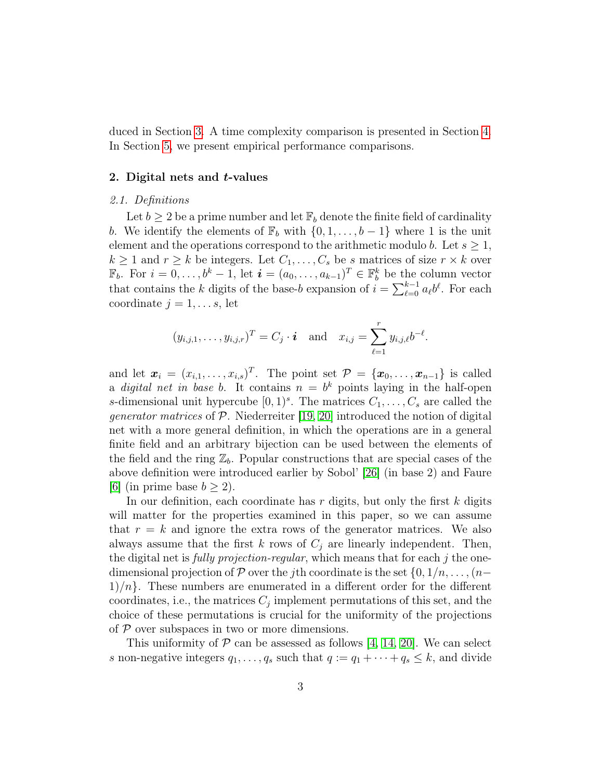duced in Section [3.](#page-6-0) A time complexity comparison is presented in Section [4.](#page-13-0) In Section [5,](#page-18-0) we present empirical performance comparisons.

# <span id="page-2-0"></span>2. Digital nets and t-values

# 2.1. Definitions

Let  $b \geq 2$  be a prime number and let  $\mathbb{F}_b$  denote the finite field of cardinality b. We identify the elements of  $\mathbb{F}_b$  with  $\{0, 1, \ldots, b-1\}$  where 1 is the unit element and the operations correspond to the arithmetic modulo b. Let  $s \geq 1$ ,  $k \geq 1$  and  $r \geq k$  be integers. Let  $C_1, \ldots, C_s$  be s matrices of size  $r \times k$  over  $\mathbb{F}_b$ . For  $i = 0, \ldots, b^k - 1$ , let  $\mathbf{i} = (a_0, \ldots, a_{k-1})^T \in \mathbb{F}_b^k$  be the column vector that contains the k digits of the base-b expansion of  $i = \sum_{\ell=0}^{k-1} a_{\ell} b^{\ell}$ . For each coordinate  $j = 1, \ldots s$ , let

$$
(y_{i,j,1},\ldots,y_{i,j,r})^T = C_j \cdot \mathbf{i}
$$
 and  $x_{i,j} = \sum_{\ell=1}^r y_{i,j,\ell} b^{-\ell}$ .

and let  $\mathbf{x}_i = (x_{i,1}, \ldots, x_{i,s})^T$ . The point set  $\mathcal{P} = \{\mathbf{x}_0, \ldots, \mathbf{x}_{n-1}\}$  is called a *digital net in base b*. It contains  $n = b^k$  points laying in the half-open s-dimensional unit hypercube  $[0,1)^s$ . The matrices  $C_1, \ldots, C_s$  are called the *generator matrices* of  $P$ . Niederreiter [\[19,](#page-23-5) [20\]](#page-23-0) introduced the notion of digital net with a more general definition, in which the operations are in a general finite field and an arbitrary bijection can be used between the elements of the field and the ring  $\mathbb{Z}_b$ . Popular constructions that are special cases of the above definition were introduced earlier by Sobol' [\[26\]](#page-23-6) (in base 2) and Faure [\[6\]](#page-22-3) (in prime base  $b \geq 2$ ).

In our definition, each coordinate has  $r$  digits, but only the first  $k$  digits will matter for the properties examined in this paper, so we can assume that  $r = k$  and ignore the extra rows of the generator matrices. We also always assume that the first k rows of  $C_j$  are linearly independent. Then, the digital net is *fully projection-regular*, which means that for each j the onedimensional projection of P over the jth coordinate is the set  $\{0, 1/n, \ldots, (n-1)$  $1/n$ . These numbers are enumerated in a different order for the different coordinates, i.e., the matrices  $C_j$  implement permutations of this set, and the choice of these permutations is crucial for the uniformity of the projections of  $P$  over subspaces in two or more dimensions.

This uniformity of  $P$  can be assessed as follows [\[4,](#page-21-1) [14,](#page-22-4) [20\]](#page-23-0). We can select s non-negative integers  $q_1, \ldots, q_s$  such that  $q := q_1 + \cdots + q_s \leq k$ , and divide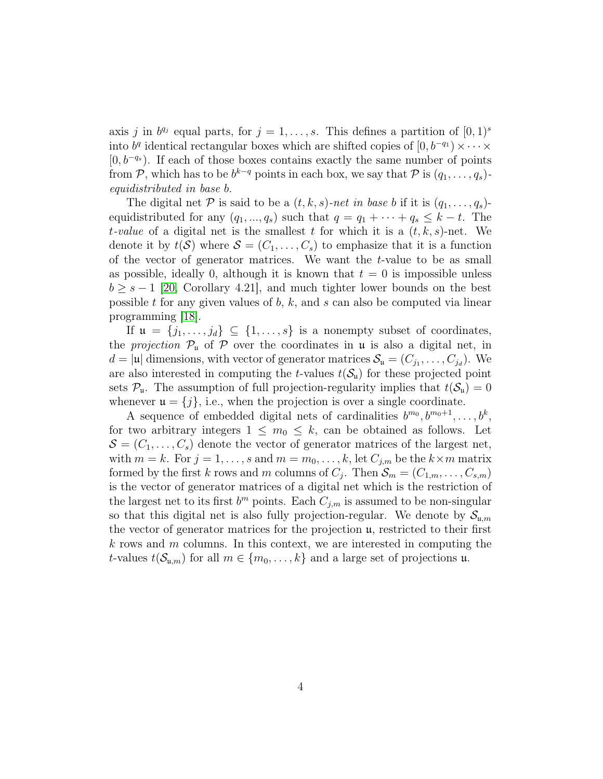axis j in  $b^{q_j}$  equal parts, for  $j = 1, \ldots, s$ . This defines a partition of  $[0, 1)^s$ into  $b^q$  identical rectangular boxes which are shifted copies of  $[0, b^{-q_1}] \times \cdots \times$  $[0, b^{-q_s}]$ . If each of those boxes contains exactly the same number of points from  $P$ , which has to be  $b^{k-q}$  points in each box, we say that  $P$  is  $(q_1, \ldots, q_s)$ equidistributed in base b.

The digital net P is said to be a  $(t, k, s)$ -net in base b if it is  $(q_1, \ldots, q_s)$ equidistributed for any  $(q_1, ..., q_s)$  such that  $q = q_1 + \cdots + q_s \leq k - t$ . The t-value of a digital net is the smallest t for which it is a  $(t, k, s)$ -net. We denote it by  $t(S)$  where  $S = (C_1, \ldots, C_s)$  to emphasize that it is a function of the vector of generator matrices. We want the t-value to be as small as possible, ideally 0, although it is known that  $t = 0$  is impossible unless  $b \geq s-1$  [\[20,](#page-23-0) Corollary 4.21], and much tighter lower bounds on the best possible  $t$  for any given values of  $b, k$ , and  $s$  can also be computed via linear programming [\[18\]](#page-23-7).

If  $\mathfrak{u} = \{j_1, \ldots, j_d\} \subseteq \{1, \ldots, s\}$  is a nonempty subset of coordinates, the *projection*  $\mathcal{P}_{\mu}$  of  $\mathcal{P}$  over the coordinates in  $\mu$  is also a digital net, in  $d = |\mathfrak{u}|$  dimensions, with vector of generator matrices  $\mathcal{S}_{\mathfrak{u}} = (C_{j_1}, \ldots, C_{j_d})$ . We are also interested in computing the *t*-values  $t(S_u)$  for these projected point sets  $\mathcal{P}_{\mathfrak{u}}$ . The assumption of full projection-regularity implies that  $t(\mathcal{S}_{\mathfrak{u}})=0$ whenever  $\mathfrak{u} = \{j\}$ , i.e., when the projection is over a single coordinate.

A sequence of embedded digital nets of cardinalities  $b^{m_0}, b^{m_0+1}, \ldots, b^k$ , for two arbitrary integers  $1 \leq m_0 \leq k$ , can be obtained as follows. Let  $\mathcal{S} = (C_1, \ldots, C_s)$  denote the vector of generator matrices of the largest net, with  $m = k$ . For  $j = 1, \ldots, s$  and  $m = m_0, \ldots, k$ , let  $C_{j,m}$  be the  $k \times m$  matrix formed by the first k rows and m columns of  $C_j$ . Then  $\mathcal{S}_m = (C_{1,m}, \ldots, C_{s,m})$ is the vector of generator matrices of a digital net which is the restriction of the largest net to its first  $b^m$  points. Each  $C_{j,m}$  is assumed to be non-singular so that this digital net is also fully projection-regular. We denote by  $\mathcal{S}_{\mu,m}$ the vector of generator matrices for the projection u, restricted to their first  $k$  rows and  $m$  columns. In this context, we are interested in computing the t-values  $t(\mathcal{S}_{\mathfrak{u},m})$  for all  $m \in \{m_0,\ldots,k\}$  and a large set of projections  $\mathfrak{u}$ .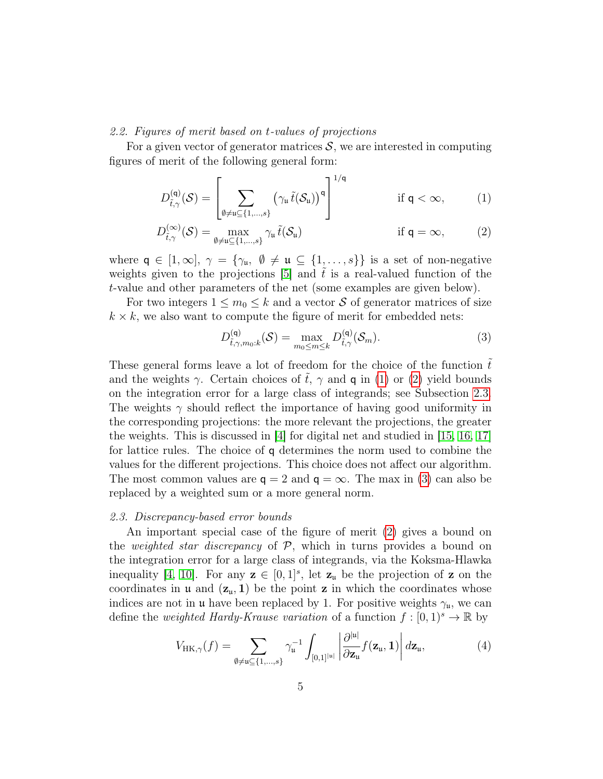# 2.2. Figures of merit based on t-values of projections

For a given vector of generator matrices  $S$ , we are interested in computing figures of merit of the following general form:

$$
D_{\tilde{t},\gamma}^{(\mathsf{q})}(\mathcal{S}) = \left[\sum_{\emptyset \neq \mathfrak{u} \subseteq \{1,\ldots,s\}} \left(\gamma_{\mathfrak{u}} \tilde{t}(\mathcal{S}_{\mathfrak{u}})\right)^{\mathfrak{q}}\right]^{1/\mathfrak{q}} \quad \text{if } \mathfrak{q} < \infty,
$$
 (1)

$$
D_{\tilde{t},\gamma}^{(\infty)}(\mathcal{S}) = \max_{\emptyset \neq \mathfrak{u} \subseteq \{1,\dots,s\}} \gamma_{\mathfrak{u}} \tilde{t}(\mathcal{S}_{\mathfrak{u}}) \qquad \text{if } \mathfrak{q} = \infty,
$$
 (2)

where  $q \in [1,\infty], \gamma = {\gamma_{\mathfrak{u}}, \emptyset \neq \mathfrak{u} \subseteq {1,\ldots,s}}$  is a set of non-negative weights given to the projections  $[5]$  and t is a real-valued function of the t-value and other parameters of the net (some examples are given below).

For two integers  $1 \leq m_0 \leq k$  and a vector S of generator matrices of size  $k \times k$ , we also want to compute the figure of merit for embedded nets:

<span id="page-4-3"></span><span id="page-4-1"></span><span id="page-4-0"></span>
$$
D_{\tilde{t},\gamma,m_0:k}^{(\mathsf{q})}(\mathcal{S}) = \max_{m_0 \le m \le k} D_{\tilde{t},\gamma}^{(\mathsf{q})}(\mathcal{S}_m). \tag{3}
$$

These general forms leave a lot of freedom for the choice of the function  $\tilde{t}$ and the weights  $\gamma$ . Certain choices of  $\tilde{t}$ ,  $\gamma$  and **q** in [\(1\)](#page-4-0) or [\(2\)](#page-4-1) yield bounds on the integration error for a large class of integrands; see Subsection [2.3.](#page-4-2) The weights  $\gamma$  should reflect the importance of having good uniformity in the corresponding projections: the more relevant the projections, the greater the weights. This is discussed in  $|4|$  for digital net and studied in [\[15,](#page-22-5) [16,](#page-22-6) [17\]](#page-23-8) for lattice rules. The choice of q determines the norm used to combine the values for the different projections. This choice does not affect our algorithm. The most common values are  $q = 2$  and  $q = \infty$ . The max in [\(3\)](#page-4-3) can also be replaced by a weighted sum or a more general norm.

## <span id="page-4-2"></span>2.3. Discrepancy-based error bounds

An important special case of the figure of merit [\(2\)](#page-4-1) gives a bound on the *weighted star discrepancy* of  $P$ , which in turns provides a bound on the integration error for a large class of integrands, via the Koksma-Hlawka inequality [\[4,](#page-21-1) [10\]](#page-22-7). For any  $z \in [0,1]^s$ , let  $z_u$  be the projection of z on the coordinates in **u** and  $(\mathbf{z}_u, 1)$  be the point **z** in which the coordinates whose indices are not in **u** have been replaced by 1. For positive weights  $\gamma_{\mu}$ , we can define the *weighted Hardy-Krause variation* of a function  $f : [0, 1)^s \to \mathbb{R}$  by

$$
V_{\text{HK},\gamma}(f) = \sum_{\emptyset \neq \mathfrak{u} \subseteq \{1,\ldots,s\}} \gamma_{\mathfrak{u}}^{-1} \int_{[0,1]^{|\mathfrak{u}|}} \left| \frac{\partial^{|\mathfrak{u}|}}{\partial \mathbf{z}_{\mathfrak{u}}} f(\mathbf{z}_{\mathfrak{u}},\mathbf{1}) \right| d\mathbf{z}_{\mathfrak{u}},\tag{4}
$$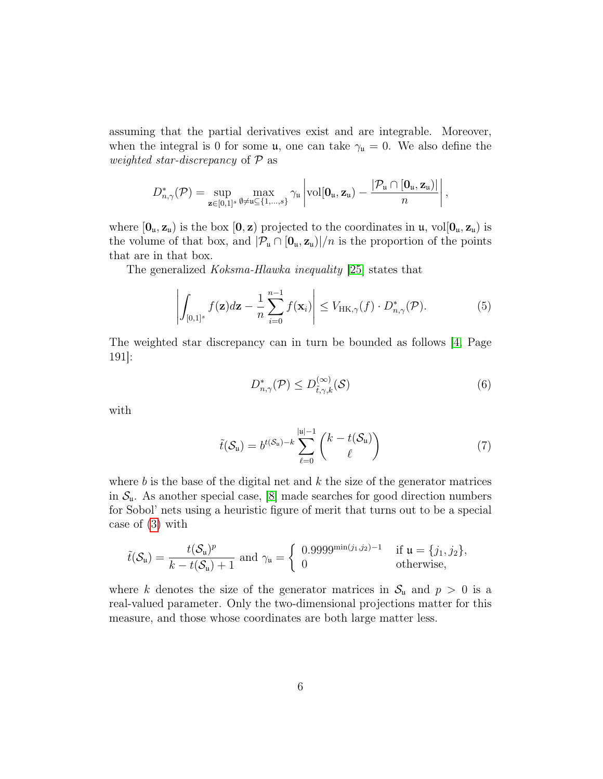assuming that the partial derivatives exist and are integrable. Moreover, when the integral is 0 for some  $\mu$ , one can take  $\gamma_{\mu} = 0$ . We also define the weighted star-discrepancy of  $P$  as

$$
D_{n,\gamma}^*(\mathcal{P}) = \sup_{\mathbf{z}\in[0,1]^s}\max_{\emptyset\neq\mathfrak{u}\subseteq\{1,\ldots,s\}}\gamma_{\mathfrak{u}}\left|\mathrm{vol}[\mathbf{0}_{\mathfrak{u}},\mathbf{z}_{\mathfrak{u}})-\frac{|\mathcal{P}_{\mathfrak{u}}\cap[\mathbf{0}_{\mathfrak{u}},\mathbf{z}_{\mathfrak{u}})|}{n}\right|,
$$

where  $[0_u, z_u)$  is the box  $[0, z)$  projected to the coordinates in  $\mu$ , vol $[0_u, z_u)$  is the volume of that box, and  $|\mathcal{P}_u \cap [\mathbf{0}_u, \mathbf{z}_u]|/n$  is the proportion of the points that are in that box.

The generalized Koksma-Hlawka inequality [\[25\]](#page-23-9) states that

$$
\left| \int_{[0,1]^s} f(\mathbf{z}) d\mathbf{z} - \frac{1}{n} \sum_{i=0}^{n-1} f(\mathbf{x}_i) \right| \leq V_{\text{HK},\gamma}(f) \cdot D_{n,\gamma}^*(\mathcal{P}). \tag{5}
$$

The weighted star discrepancy can in turn be bounded as follows [\[4,](#page-21-1) Page 191]:

$$
D_{n,\gamma}^*(\mathcal{P}) \le D_{\tilde{t},\gamma,k}^{(\infty)}(\mathcal{S})\tag{6}
$$

with

$$
\tilde{t}(\mathcal{S}_{\mathfrak{u}}) = b^{t(\mathcal{S}_{\mathfrak{u}})-k} \sum_{\ell=0}^{|\mathfrak{u}|-1} {k - t(\mathcal{S}_{\mathfrak{u}}) \choose \ell} \tag{7}
$$

where  $b$  is the base of the digital net and  $k$  the size of the generator matrices in  $S_u$ . As another special case, [\[8\]](#page-22-8) made searches for good direction numbers for Sobol' nets using a heuristic figure of merit that turns out to be a special case of [\(3\)](#page-4-3) with

$$
\tilde{t}(\mathcal{S}_{\mathfrak{u}})=\frac{t(\mathcal{S}_{\mathfrak{u}})^p}{k-t(\mathcal{S}_{\mathfrak{u}})+1}
$$
 and  $\gamma_{\mathfrak{u}}=\begin{cases} 0.9999^{\min(j_1,j_2)-1} & \text{if } \mathfrak{u}=\{j_1,j_2\}, \\ 0 & \text{otherwise,} \end{cases}$ 

where k denotes the size of the generator matrices in  $S_u$  and  $p > 0$  is a real-valued parameter. Only the two-dimensional projections matter for this measure, and those whose coordinates are both large matter less.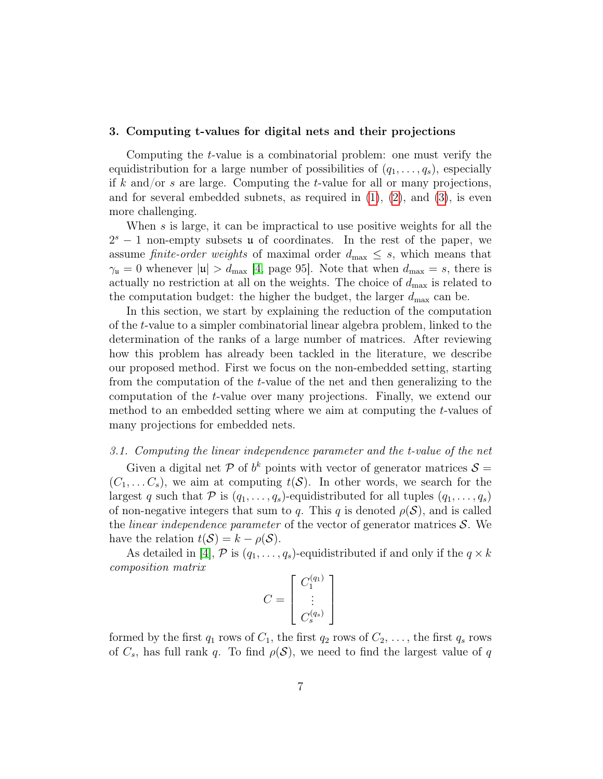## <span id="page-6-0"></span>3. Computing t-values for digital nets and their projections

Computing the t-value is a combinatorial problem: one must verify the equidistribution for a large number of possibilities of  $(q_1, \ldots, q_s)$ , especially if k and/or s are large. Computing the t-value for all or many projections, and for several embedded subnets, as required in  $(1)$ ,  $(2)$ , and  $(3)$ , is even more challenging.

When s is large, it can be impractical to use positive weights for all the  $2<sup>s</sup> - 1$  non-empty subsets **u** of coordinates. In the rest of the paper, we assume finite-order weights of maximal order  $d_{\text{max}} \leq s$ , which means that  $\gamma_{\rm u}=0$  whenever  $|\mathfrak{u}| > d_{\rm max}$  [\[4,](#page-21-1) page 95]. Note that when  $d_{\rm max} = s$ , there is actually no restriction at all on the weights. The choice of  $d_{\text{max}}$  is related to the computation budget: the higher the budget, the larger  $d_{\text{max}}$  can be.

In this section, we start by explaining the reduction of the computation of the t-value to a simpler combinatorial linear algebra problem, linked to the determination of the ranks of a large number of matrices. After reviewing how this problem has already been tackled in the literature, we describe our proposed method. First we focus on the non-embedded setting, starting from the computation of the t-value of the net and then generalizing to the computation of the t-value over many projections. Finally, we extend our method to an embedded setting where we aim at computing the t-values of many projections for embedded nets.

## <span id="page-6-1"></span>3.1. Computing the linear independence parameter and the t-value of the net

Given a digital net P of  $b^k$  points with vector of generator matrices  $S =$  $(C_1, \ldots C_s)$ , we aim at computing  $t(S)$ . In other words, we search for the largest q such that  $P$  is  $(q_1, \ldots, q_s)$ -equidistributed for all tuples  $(q_1, \ldots, q_s)$ of non-negative integers that sum to q. This q is denoted  $\rho(\mathcal{S})$ , and is called the *linear independence parameter* of the vector of generator matrices  $S$ . We have the relation  $t(S) = k - \rho(S)$ .

As detailed in [\[4\]](#page-21-1),  $P$  is  $(q_1, \ldots, q_s)$ -equidistributed if and only if the  $q \times k$ composition matrix

$$
C = \left[ \begin{array}{c} C_1^{(q_1)} \\ \vdots \\ C_s^{(q_s)} \end{array} \right]
$$

formed by the first  $q_1$  rows of  $C_1$ , the first  $q_2$  rows of  $C_2, \ldots$ , the first  $q_s$  rows of  $C_s$ , has full rank q. To find  $\rho(S)$ , we need to find the largest value of q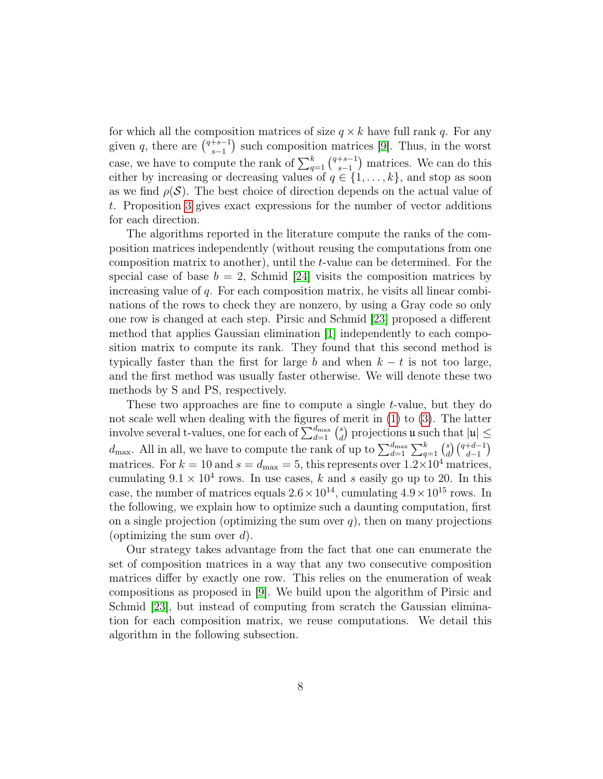for which all the composition matrices of size  $q \times k$  have full rank q. For any given q, there are  $\binom{q+s-1}{s-1}$  $s-1 \choose s-1}$  such composition matrices [\[9\]](#page-22-9). Thus, in the worst case, we have to compute the rank of  $\sum_{q=1}^{k} \binom{q+s-1}{s-1}$  $\binom{+s-1}{s-1}$  matrices. We can do this either by increasing or decreasing values of  $q \in \{1, \ldots, k\}$ , and stop as soon as we find  $\rho(\mathcal{S})$ . The best choice of direction depends on the actual value of t. Proposition [3](#page-14-0) gives exact expressions for the number of vector additions for each direction.

The algorithms reported in the literature compute the ranks of the composition matrices independently (without reusing the computations from one composition matrix to another), until the t-value can be determined. For the special case of base  $b = 2$ , Schmid [\[24\]](#page-23-4) visits the composition matrices by increasing value of q. For each composition matrix, he visits all linear combinations of the rows to check they are nonzero, by using a Gray code so only one row is changed at each step. Pirsic and Schmid [\[23\]](#page-23-3) proposed a different method that applies Gaussian elimination [\[1\]](#page-21-4) independently to each composition matrix to compute its rank. They found that this second method is typically faster than the first for large b and when  $k - t$  is not too large, and the first method was usually faster otherwise. We will denote these two methods by S and PS, respectively.

These two approaches are fine to compute a single t-value, but they do not scale well when dealing with the figures of merit in [\(1\)](#page-4-0) to [\(3\)](#page-4-3). The latter involve several t-values, one for each of  $\sum_{d=1}^{d_{\text{max}}} \binom{s}{d}$  $\binom{s}{d}$  projections **u** such that  $|u| \leq$  $d_{\text{max}}$ . All in all, we have to compute the rank of up to  $\sum_{d=1}^{d_{\text{max}}}\sum_{q=1}^{k} {s \choose d}$  $\binom{d}{d} \binom{q+d-1}{d-1}$ matrices. For  $k = 10$  and  $s = d_{\text{max}} = 5$ , this represents over  $1.2 \times 10^4$  matrices, cumulating  $9.1 \times 10^4$  rows. In use cases, k and s easily go up to 20. In this case, the number of matrices equals  $2.6 \times 10^{14}$ , cumulating  $4.9 \times 10^{15}$  rows. In the following, we explain how to optimize such a daunting computation, first on a single projection (optimizing the sum over  $q$ ), then on many projections (optimizing the sum over  $d$ ).

Our strategy takes advantage from the fact that one can enumerate the set of composition matrices in a way that any two consecutive composition matrices differ by exactly one row. This relies on the enumeration of weak compositions as proposed in [\[9\]](#page-22-9). We build upon the algorithm of Pirsic and Schmid [\[23\]](#page-23-3), but instead of computing from scratch the Gaussian elimination for each composition matrix, we reuse computations. We detail this algorithm in the following subsection.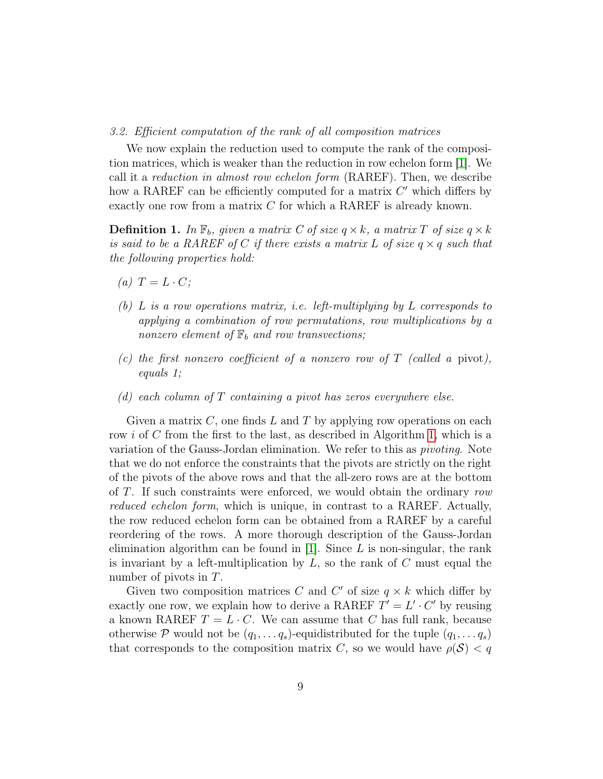## <span id="page-8-1"></span>3.2. Efficient computation of the rank of all composition matrices

We now explain the reduction used to compute the rank of the composition matrices, which is weaker than the reduction in row echelon form [\[1\]](#page-21-4). We call it a reduction in almost row echelon form (RAREF). Then, we describe how a RAREF can be efficiently computed for a matrix  $C'$  which differs by exactly one row from a matrix C for which a RAREF is already known.

<span id="page-8-0"></span>**Definition 1.** In  $\mathbb{F}_b$ , given a matrix C of size  $q \times k$ , a matrix T of size  $q \times k$ is said to be a RAREF of C if there exists a matrix L of size  $q \times q$  such that the following properties hold:

- (a)  $T = L \cdot C$ ;
- (b) L is a row operations matrix, i.e. left-multiplying by L corresponds to applying a combination of row permutations, row multiplications by a nonzero element of  $\mathbb{F}_b$  and row transvections;
- (c) the first nonzero coefficient of a nonzero row of  $T$  (called a pivot), equals 1;
- (d) each column of  $T$  containing a pivot has zeros everywhere else.

Given a matrix  $C$ , one finds  $L$  and  $T$  by applying row operations on each row i of C from the first to the last, as described in Algorithm [1,](#page-9-0) which is a variation of the Gauss-Jordan elimination. We refer to this as pivoting. Note that we do not enforce the constraints that the pivots are strictly on the right of the pivots of the above rows and that the all-zero rows are at the bottom of T. If such constraints were enforced, we would obtain the ordinary row reduced echelon form, which is unique, in contrast to a RAREF. Actually, the row reduced echelon form can be obtained from a RAREF by a careful reordering of the rows. A more thorough description of the Gauss-Jordan elimination algorithm can be found in [\[1\]](#page-21-4). Since  $L$  is non-singular, the rank is invariant by a left-multiplication by  $L$ , so the rank of  $C$  must equal the number of pivots in T.

Given two composition matrices C and C' of size  $q \times k$  which differ by exactly one row, we explain how to derive a RAREF  $T' = L' \cdot C'$  by reusing a known RAREF  $T = L \cdot C$ . We can assume that C has full rank, because otherwise P would not be  $(q_1, \ldots q_s)$ -equidistributed for the tuple  $(q_1, \ldots q_s)$ that corresponds to the composition matrix C, so we would have  $\rho(\mathcal{S}) < q$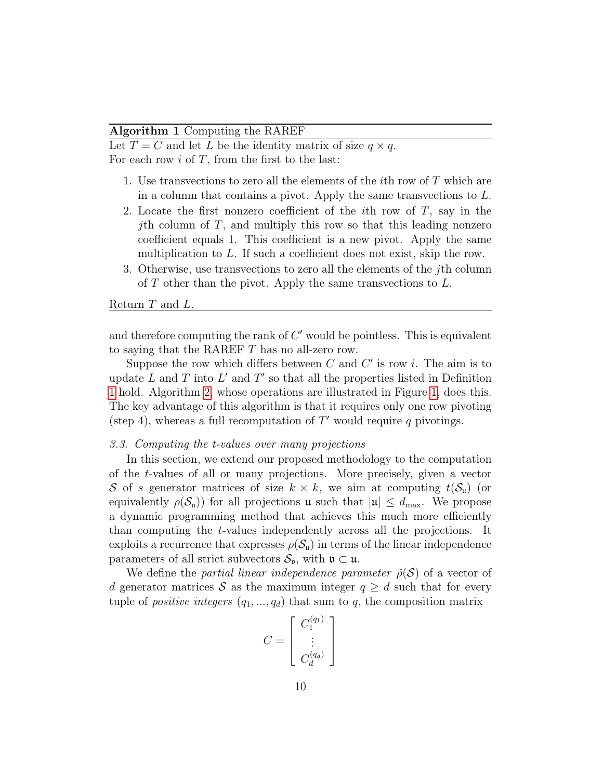# <span id="page-9-0"></span>Algorithm 1 Computing the RAREF

Let  $T = C$  and let L be the identity matrix of size  $q \times q$ . For each row  $i$  of  $T$ , from the first to the last:

- 1. Use transvections to zero all the elements of the *i*th row of  $T$  which are in a column that contains a pivot. Apply the same transvections to L.
- 2. Locate the first nonzero coefficient of the *i*th row of  $T$ , say in the *j*th column of  $T$ , and multiply this row so that this leading nonzero coefficient equals 1. This coefficient is a new pivot. Apply the same multiplication to L. If such a coefficient does not exist, skip the row.
- 3. Otherwise, use transvections to zero all the elements of the jth column of  $T$  other than the pivot. Apply the same transvections to  $L$ .

## Return T and L.

and therefore computing the rank of  $C'$  would be pointless. This is equivalent to saying that the RAREF T has no all-zero row.

Suppose the row which differs between  $C$  and  $C'$  is row i. The aim is to update  $L$  and  $T$  into  $L'$  and  $T'$  so that all the properties listed in Definition [1](#page-8-0) hold. Algorithm [2,](#page-11-0) whose operations are illustrated in Figure [1,](#page-10-0) does this. The key advantage of this algorithm is that it requires only one row pivoting (step 4), whereas a full recomputation of  $T'$  would require q pivotings.

# <span id="page-9-1"></span>3.3. Computing the t-values over many projections

In this section, we extend our proposed methodology to the computation of the t-values of all or many projections. More precisely, given a vector S of s generator matrices of size  $k \times k$ , we aim at computing  $t(\mathcal{S}_u)$  (or equivalently  $\rho(\mathcal{S}_u)$  for all projections u such that  $|u| \leq d_{\text{max}}$ . We propose a dynamic programming method that achieves this much more efficiently than computing the t-values independently across all the projections. It exploits a recurrence that expresses  $\rho(\mathcal{S}_u)$  in terms of the linear independence parameters of all strict subvectors  $S_{\mathfrak{v}}$ , with  $\mathfrak{v} \subset \mathfrak{u}$ .

We define the partial linear independence parameter  $\tilde{\rho}(\mathcal{S})$  of a vector of d generator matrices S as the maximum integer  $q \geq d$  such that for every tuple of *positive integers*  $(q_1, ..., q_d)$  that sum to q, the composition matrix

$$
C = \left[ \begin{array}{c} C_1^{(q_1)} \\ \vdots \\ C_d^{(q_d)} \end{array} \right]
$$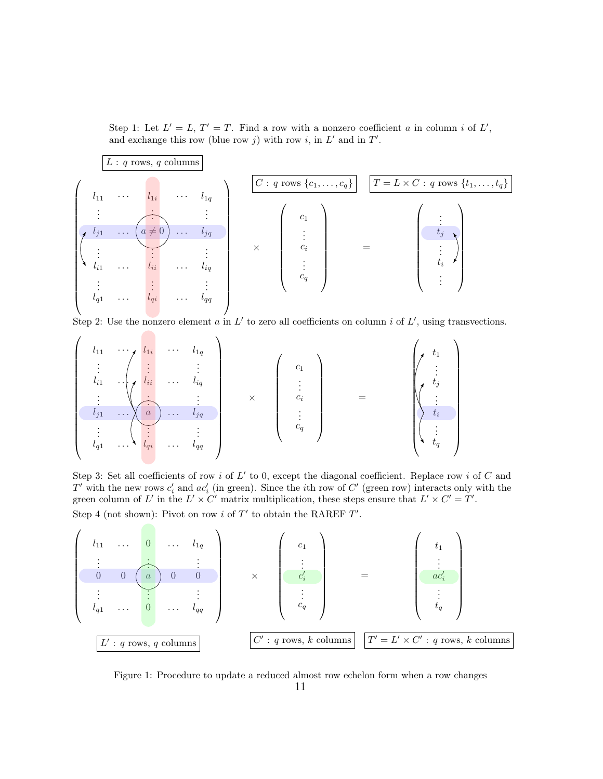<span id="page-10-0"></span>Step 1: Let  $L' = L$ ,  $T' = T$ . Find a row with a nonzero coefficient a in column i of L', and exchange this row (blue row j) with row i, in  $L'$  and in  $T'$ .



Step 2: Use the nonzero element  $a$  in  $L'$  to zero all coefficients on column  $i$  of  $L'$ , using transvections.

$$
\left(\begin{array}{cccccc} l_{11} & \cdots & l_{1i} \\ \vdots & \vdots & \vdots \\ l_{i1} & \cdots & l_{ii} \\ \vdots & \vdots & \ddots & \vdots \\ l_{j1} & \cdots & l_{qi} \\ \vdots & \vdots & \vdots & \vdots \\ l_{q1} & \cdots & l_{qi} \\ \end{array}\right) \cdots \left(\begin{array}{c} l_{11} \\ \vdots \\ l_{iq} \\ \vdots \\ l_{iq} \\ \end{array}\right) \times \left(\begin{array}{c} c_{1} \\ \vdots \\ c_{i} \\ \vdots \\ c_{q} \\ \end{array}\right) \qquad = \qquad \left(\begin{array}{c} t_{1} \\ \vdots \\ t_{j} \\ \vdots \\ t_{i} \\ \vdots \\ t_{i} \\ \end{array}\right)
$$

Step 3: Set all coefficients of row i of  $L'$  to 0, except the diagonal coefficient. Replace row i of  $C$  and  $T'$  with the new rows  $c'_i$  and  $ac'_i$  (in green). Since the *i*th row of  $C'$  (green row) interacts only with the green column of L' in the  $L' \times C'$  matrix multiplication, these steps ensure that  $L' \times C' = T'$ . Step 4 (not shown): Pivot on row i of  $T'$  to obtain the RAREF  $T'$ .



Figure 1: Procedure to update a reduced almost row echelon form when a row changes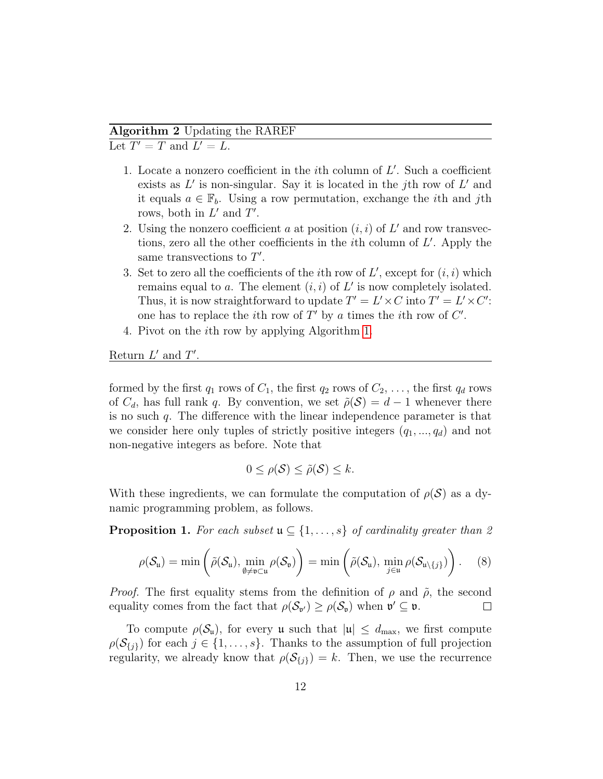# <span id="page-11-0"></span>Algorithm 2 Updating the RAREF

Let  $T' = T$  and  $L' = L$ .

- 1. Locate a nonzero coefficient in the *i*th column of  $L'$ . Such a coefficient exists as  $L'$  is non-singular. Say it is located in the jth row of  $L'$  and it equals  $a \in \mathbb{F}_b$ . Using a row permutation, exchange the *i*th and *j*th rows, both in  $L'$  and  $T'$ .
- 2. Using the nonzero coefficient a at position  $(i, i)$  of  $L'$  and row transvections, zero all the other coefficients in the  $i$ th column of  $L'$ . Apply the same transvections to  $T'$ .
- 3. Set to zero all the coefficients of the *i*th row of  $L'$ , except for  $(i, i)$  which remains equal to a. The element  $(i, i)$  of  $L'$  is now completely isolated. Thus, it is now straightforward to update  $T' = L' \times C$  into  $T' = L' \times C'$ : one has to replace the *i*th row of  $T'$  by a times the *i*th row of  $C'$ .
- 4. Pivot on the ith row by applying Algorithm [1.](#page-9-0)

Return  $L'$  and  $T'$ .

formed by the first  $q_1$  rows of  $C_1$ , the first  $q_2$  rows of  $C_2, \ldots$ , the first  $q_d$  rows of  $C_d$ , has full rank q. By convention, we set  $\tilde{\rho}(\mathcal{S}) = d - 1$  whenever there is no such q. The difference with the linear independence parameter is that we consider here only tuples of strictly positive integers  $(q_1, ..., q_d)$  and not non-negative integers as before. Note that

<span id="page-11-1"></span>
$$
0 \leq \rho(\mathcal{S}) \leq \tilde{\rho}(\mathcal{S}) \leq k.
$$

With these ingredients, we can formulate the computation of  $\rho(\mathcal{S})$  as a dynamic programming problem, as follows.

**Proposition 1.** For each subset  $\mathfrak{u} \subseteq \{1, \ldots, s\}$  of cardinality greater than 2

$$
\rho(\mathcal{S}_{\mathfrak{u}})=\min\left(\tilde{\rho}(\mathcal{S}_{\mathfrak{u}}),\min_{\emptyset\neq\mathfrak{v}\subset\mathfrak{u}}\rho(\mathcal{S}_{\mathfrak{v}})\right)=\min\left(\tilde{\rho}(\mathcal{S}_{\mathfrak{u}}),\min_{j\in\mathfrak{u}}\rho(\mathcal{S}_{\mathfrak{u}\setminus\{j\}})\right).
$$
 (8)

*Proof.* The first equality stems from the definition of  $\rho$  and  $\tilde{\rho}$ , the second equality comes from the fact that  $\rho(\mathcal{S}_{\mathfrak{v}'}) \geq \rho(\mathcal{S}_{\mathfrak{v}})$  when  $\mathfrak{v}' \subseteq \mathfrak{v}$ .  $\Box$ 

To compute  $\rho(\mathcal{S}_u)$ , for every u such that  $|u| \leq d_{\text{max}}$ , we first compute  $\rho(\mathcal{S}_{\{j\}})$  for each  $j \in \{1, \ldots, s\}$ . Thanks to the assumption of full projection regularity, we already know that  $\rho(\mathcal{S}_{\{j\}}) = k$ . Then, we use the recurrence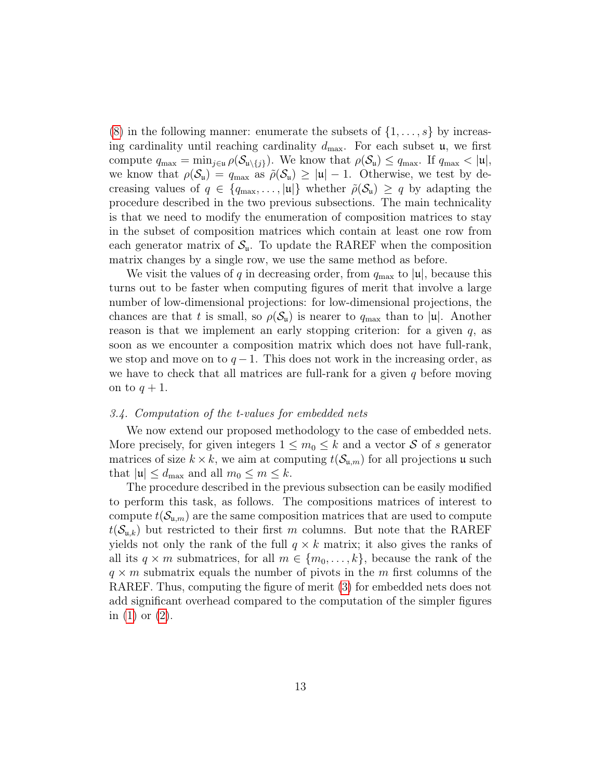[\(8\)](#page-11-1) in the following manner: enumerate the subsets of  $\{1, \ldots, s\}$  by increasing cardinality until reaching cardinality  $d_{\text{max}}$ . For each subset  $\mu$ , we first compute  $q_{\max} = \min_{j \in \mathfrak{u}} \rho(\mathcal{S}_{\mathfrak{u} \setminus \{j\}})$ . We know that  $\rho(\mathcal{S}_{\mathfrak{u}}) \leq q_{\max}$ . If  $q_{\max} < |\mathfrak{u}|$ , we know that  $\rho(\mathcal{S}_u) = q_{\text{max}}$  as  $\tilde{\rho}(\mathcal{S}_u) \geq |u| - 1$ . Otherwise, we test by decreasing values of  $q \in \{q_{\max}, \ldots, |\mathfrak{u}|\}$  whether  $\tilde{\rho}(\mathcal{S}_{\mathfrak{u}}) \geq q$  by adapting the procedure described in the two previous subsections. The main technicality is that we need to modify the enumeration of composition matrices to stay in the subset of composition matrices which contain at least one row from each generator matrix of  $S_u$ . To update the RAREF when the composition matrix changes by a single row, we use the same method as before.

We visit the values of q in decreasing order, from  $q_{\text{max}}$  to  $|\mu|$ , because this turns out to be faster when computing figures of merit that involve a large number of low-dimensional projections: for low-dimensional projections, the chances are that t is small, so  $\rho(\mathcal{S}_u)$  is nearer to  $q_{\text{max}}$  than to  $|u|$ . Another reason is that we implement an early stopping criterion: for a given  $q$ , as soon as we encounter a composition matrix which does not have full-rank, we stop and move on to  $q-1$ . This does not work in the increasing order, as we have to check that all matrices are full-rank for a given  $q$  before moving on to  $q+1$ .

## <span id="page-12-0"></span>3.4. Computation of the t-values for embedded nets

We now extend our proposed methodology to the case of embedded nets. More precisely, for given integers  $1 \leq m_0 \leq k$  and a vector S of s generator matrices of size  $k \times k$ , we aim at computing  $t(\mathcal{S}_{\mu,m})$  for all projections u such that  $|\mathfrak{u}| \leq d_{\max}$  and all  $m_0 \leq m \leq k$ .

The procedure described in the previous subsection can be easily modified to perform this task, as follows. The compositions matrices of interest to compute  $t(\mathcal{S}_{\mathfrak{u},m})$  are the same composition matrices that are used to compute  $t(\mathcal{S}_{u,k})$  but restricted to their first m columns. But note that the RAREF yields not only the rank of the full  $q \times k$  matrix; it also gives the ranks of all its  $q \times m$  submatrices, for all  $m \in \{m_0, \ldots, k\}$ , because the rank of the  $q \times m$  submatrix equals the number of pivots in the m first columns of the RAREF. Thus, computing the figure of merit [\(3\)](#page-4-3) for embedded nets does not add significant overhead compared to the computation of the simpler figures in [\(1\)](#page-4-0) or [\(2\)](#page-4-1).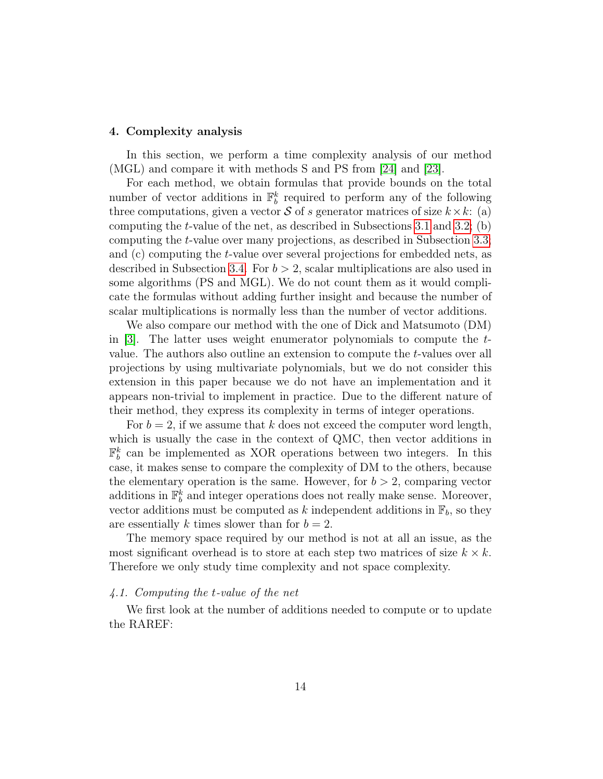## <span id="page-13-0"></span>4. Complexity analysis

In this section, we perform a time complexity analysis of our method (MGL) and compare it with methods S and PS from [\[24\]](#page-23-4) and [\[23\]](#page-23-3).

For each method, we obtain formulas that provide bounds on the total number of vector additions in  $\mathbb{F}_b^k$  required to perform any of the following three computations, given a vector S of s generator matrices of size  $k \times k$ : (a) computing the t-value of the net, as described in Subsections [3.1](#page-6-1) and [3.2;](#page-8-1) (b) computing the t-value over many projections, as described in Subsection [3.3;](#page-9-1) and (c) computing the t-value over several projections for embedded nets, as described in Subsection [3.4.](#page-12-0) For  $b > 2$ , scalar multiplications are also used in some algorithms (PS and MGL). We do not count them as it would complicate the formulas without adding further insight and because the number of scalar multiplications is normally less than the number of vector additions.

We also compare our method with the one of Dick and Matsumoto (DM) in [\[3\]](#page-21-2). The latter uses weight enumerator polynomials to compute the tvalue. The authors also outline an extension to compute the t-values over all projections by using multivariate polynomials, but we do not consider this extension in this paper because we do not have an implementation and it appears non-trivial to implement in practice. Due to the different nature of their method, they express its complexity in terms of integer operations.

For  $b = 2$ , if we assume that k does not exceed the computer word length, which is usually the case in the context of QMC, then vector additions in  $\mathbb{F}_b^k$  can be implemented as XOR operations between two integers. In this case, it makes sense to compare the complexity of DM to the others, because the elementary operation is the same. However, for  $b > 2$ , comparing vector additions in  $\mathbb{F}_b^k$  and integer operations does not really make sense. Moreover, vector additions must be computed as k independent additions in  $\mathbb{F}_b$ , so they are essentially k times slower than for  $b = 2$ .

The memory space required by our method is not at all an issue, as the most significant overhead is to store at each step two matrices of size  $k \times k$ . Therefore we only study time complexity and not space complexity.

# 4.1. Computing the t-value of the net

We first look at the number of additions needed to compute or to update the RAREF: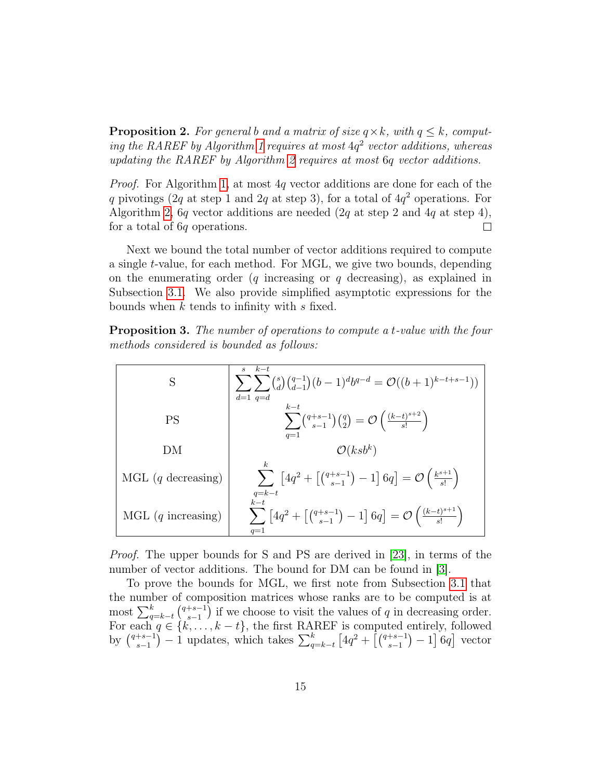<span id="page-14-1"></span>**Proposition 2.** For general b and a matrix of size  $q \times k$ , with  $q \leq k$ , comput-ing the RAREF by Algorithm [1](#page-9-0) requires at most  $4q^2$  vector additions, whereas updating the RAREF by Algorithm [2](#page-11-0) requires at most 6q vector additions.

Proof. For Algorithm [1,](#page-9-0) at most 4q vector additions are done for each of the q pivotings (2q at step 1 and 2q at step 3), for a total of  $4q<sup>2</sup>$  operations. For Algorithm [2,](#page-11-0) 6q vector additions are needed  $(2q \text{ at step } 2 \text{ and } 4q \text{ at step } 4)$ ,  $\Box$ for a total of 6q operations.

Next we bound the total number of vector additions required to compute a single t-value, for each method. For MGL, we give two bounds, depending on the enumerating order  $(q$  increasing or  $q$  decreasing), as explained in Subsection [3.1.](#page-6-1) We also provide simplified asymptotic expressions for the bounds when  $k$  tends to infinity with  $s$  fixed.

<span id="page-14-0"></span>Proposition 3. The number of operations to compute a t-value with the four methods considered is bounded as follows:

| S                            | $k-t$<br>$\mathcal{S}$<br>$\sum_{d} \sum_{d} {s \choose d} {q-1 \choose d-1} (b-1)^d b^{q-d} = \mathcal{O}((b+1)^{k-t+s-1})$<br>$d=1$ q=d       |
|------------------------------|-------------------------------------------------------------------------------------------------------------------------------------------------|
| PS                           | $k-t$<br>$\sum {\binom{q+s-1}{s-1}\binom{q}{2}} = \mathcal{O}\left(\frac{(k-t)^{s+2}}{s!}\right)$<br>$q=1$                                      |
| DМ                           | $\mathcal{O}(ksb^k)$                                                                                                                            |
| MGL $(q \text{ decreasing})$ | $\sum \left[4q^2 + \left[ \binom{q+s-1}{s-1} - 1\right] 6q \right] = \mathcal{O}\left(\frac{k^{s+1}}{s!}\right)$<br>$q=k-t$                     |
| MGL $(q \text{ increasing})$ | $k-t$<br>$\sum_{s} \left[ 4q^2 + \left[ \binom{q+s-1}{s-1} - 1 \right] 6q \right] = \mathcal{O} \left( \frac{(k-t)^{s+1}}{s!} \right)$<br>$q=1$ |

Proof. The upper bounds for S and PS are derived in [\[23\]](#page-23-3), in terms of the number of vector additions. The bound for DM can be found in [\[3\]](#page-21-2).

To prove the bounds for MGL, we first note from Subsection [3.1](#page-6-1) that the number of composition matrices whose ranks are to be computed is at most  $\sum_{q=k-t}^{k} \binom{q+s-1}{s-1}$  ${s-1 \choose s-1}$  if we choose to visit the values of q in decreasing order. For each  $q \in \{k, \ldots, k-t\}$ , the first RAREF is computed entirely, followed by  $\binom{q+s-1}{s-1}$  $\frac{1}{s-1}$ ,  $\frac{1}{s-1}$  updates, which takes  $\sum_{q=k-t}^{k} [4q^2 + (4q^{2} + 4q^{4} - 1) - 1]$  6q vector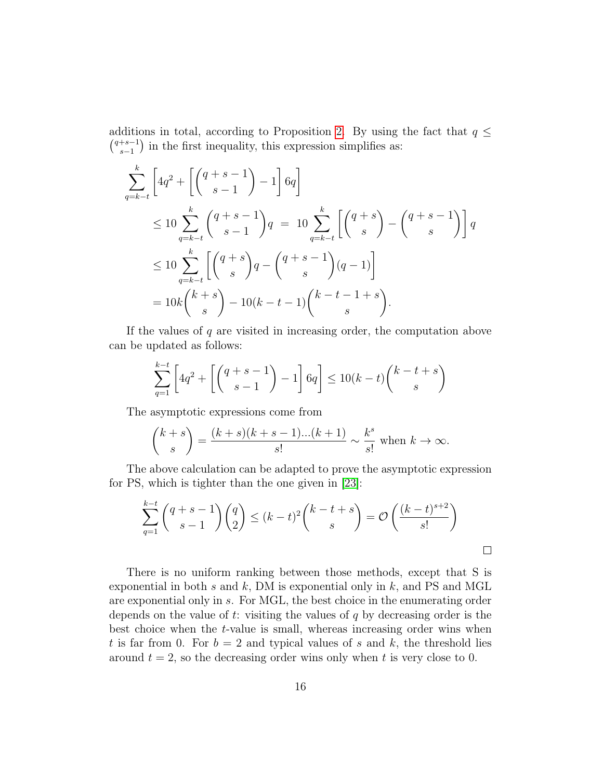additions in total, according to Proposition [2.](#page-14-1) By using the fact that  $q \leq$  $\binom{q+s-1}{s-1}$  $s-1 \choose s-1$  in the first inequality, this expression simplifies as:

$$
\sum_{q=k-t}^{k} \left[ 4q^2 + \left[ \binom{q+s-1}{s-1} - 1 \right] 6q \right]
$$
\n
$$
\leq 10 \sum_{q=k-t}^{k} \binom{q+s-1}{s-1} q = 10 \sum_{q=k-t}^{k} \left[ \binom{q+s}{s} - \binom{q+s-1}{s} \right] q
$$
\n
$$
\leq 10 \sum_{q=k-t}^{k} \left[ \binom{q+s}{s} q - \binom{q+s-1}{s} (q-1) \right]
$$
\n
$$
= 10k \binom{k+s}{s} - 10(k-t-1) \binom{k-t-1+s}{s}.
$$

If the values of  $q$  are visited in increasing order, the computation above can be updated as follows:

$$
\sum_{q=1}^{k-t} \left[ 4q^2 + \left[ \binom{q+s-1}{s-1} - 1 \right] 6q \right] \le 10(k-t) \binom{k-t+s}{s}
$$

The asymptotic expressions come from

$$
\binom{k+s}{s} = \frac{(k+s)(k+s-1)...(k+1)}{s!} \sim \frac{k^s}{s!} \text{ when } k \to \infty.
$$

The above calculation can be adapted to prove the asymptotic expression for PS, which is tighter than the one given in [\[23\]](#page-23-3):

$$
\sum_{q=1}^{k-t} \binom{q+s-1}{s-1} \binom{q}{2} \le (k-t)^2 \binom{k-t+s}{s} = \mathcal{O}\left(\frac{(k-t)^{s+2}}{s!}\right)
$$

There is no uniform ranking between those methods, except that S is exponential in both s and k, DM is exponential only in  $k$ , and PS and MGL are exponential only in s. For MGL, the best choice in the enumerating order depends on the value of  $t$ : visiting the values of  $q$  by decreasing order is the best choice when the t-value is small, whereas increasing order wins when t is far from 0. For  $b = 2$  and typical values of s and k, the threshold lies around  $t = 2$ , so the decreasing order wins only when t is very close to 0.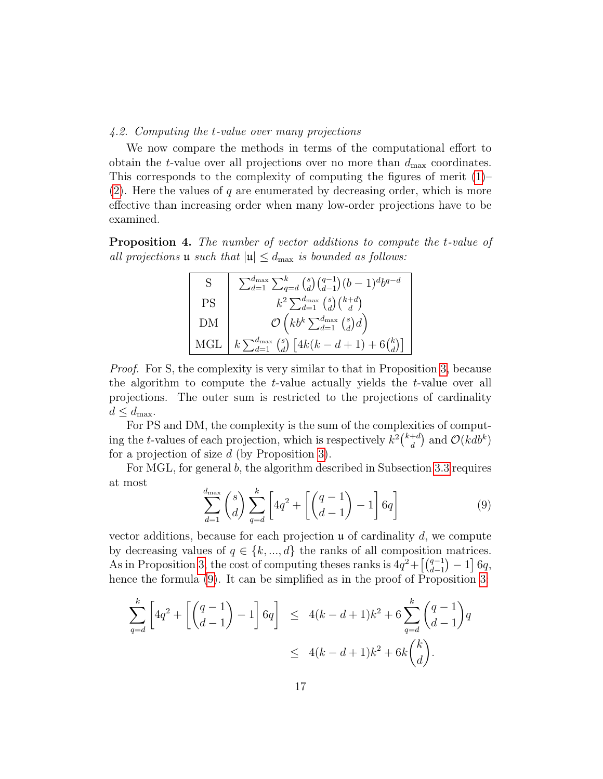# 4.2. Computing the t-value over many projections

We now compare the methods in terms of the computational effort to obtain the *t*-value over all projections over no more than  $d_{\text{max}}$  coordinates. This corresponds to the complexity of computing the figures of merit [\(1\)](#page-4-0)– [\(2\)](#page-4-1). Here the values of q are enumerated by decreasing order, which is more effective than increasing order when many low-order projections have to be examined.

<span id="page-16-1"></span>Proposition 4. The number of vector additions to compute the t-value of all projections **u** such that  $|\mathfrak{u}| \leq d_{\text{max}}$  is bounded as follows:

| S         | $\sum_{d=1}^{d_{\max}} \sum_{q=d}^{k} {s \choose d} {q-1 \choose d-1} (b-1)^d b^{q-d}$ |
|-----------|----------------------------------------------------------------------------------------|
| <b>PS</b> | $k^2\sum_{d=1}^{d_{\text{max}}}\binom{s}{d}\binom{k+d}{d}$                             |
| DΜ        | $\mathcal{O}\left(k b^k \sum_{d=1}^{d_{\max}} {s \choose d} d\right)$                  |
|           | MGL $k \sum_{d=1}^{d_{\max}} {s \choose d} [4k(k-d+1)+6{k \choose d}]$                 |

Proof. For S, the complexity is very similar to that in Proposition [3,](#page-14-0) because the algorithm to compute the t-value actually yields the t-value over all projections. The outer sum is restricted to the projections of cardinality  $d \leq d_{\text{max}}$ .

For PS and DM, the complexity is the sum of the complexities of computing the t-values of each projection, which is respectively  $k^2\binom{k+d}{d}$  $\binom{+d}{d}$  and  $\mathcal{O}(kdb^k)$ for a projection of size d (by Proposition [3\)](#page-14-0).

For MGL, for general b, the algorithm described in Subsection [3.3](#page-9-1) requires at most

<span id="page-16-0"></span>
$$
\sum_{d=1}^{d_{\text{max}}} \binom{s}{d} \sum_{q=d}^{k} \left[ 4q^2 + \left[ \binom{q-1}{d-1} - 1 \right] 6q \right] \tag{9}
$$

vector additions, because for each projection  $\mu$  of cardinality d, we compute by decreasing values of  $q \in \{k, ..., d\}$  the ranks of all composition matrices. As in Proposition [3,](#page-14-0) the cost of computing theses ranks is  $4q^2 + \left[\binom{q-1}{d-1} - 1\right] 6q$ , hence the formula  $(9)$ . It can be simplified as in the proof of Proposition [3:](#page-14-0)

$$
\sum_{q=d}^{k} \left[ 4q^2 + \left[ \binom{q-1}{d-1} - 1 \right] 6q \right] \le 4(k-d+1)k^2 + 6 \sum_{q=d}^{k} \binom{q-1}{d-1} q
$$
  
 
$$
\le 4(k-d+1)k^2 + 6k \binom{k}{d}.
$$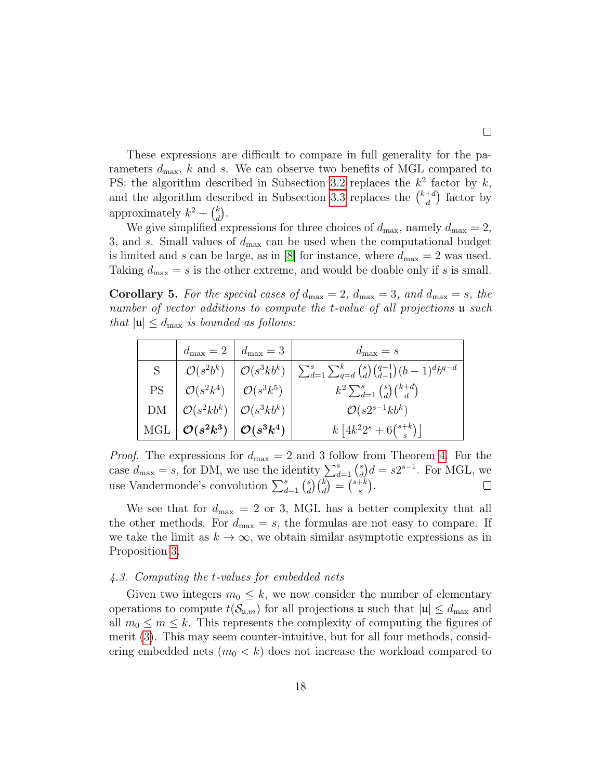These expressions are difficult to compare in full generality for the parameters  $d_{\text{max}}$ , k and s. We can observe two benefits of MGL compared to PS: the algorithm described in Subsection [3.2](#page-8-1) replaces the  $k^2$  factor by k, and the algorithm described in Subsection [3.3](#page-9-1) replaces the  $\binom{k+d}{d}$  $\binom{+d}{d}$  factor by approximately  $k^2 + \binom{k}{d}$  $\binom{k}{d}$ .

We give simplified expressions for three choices of  $d_{\text{max}}$ , namely  $d_{\text{max}} = 2$ , 3, and s. Small values of  $d_{\text{max}}$  can be used when the computational budget is limited and s can be large, as in [\[8\]](#page-22-8) for instance, where  $d_{\text{max}} = 2$  was used. Taking  $d_{\text{max}} = s$  is the other extreme, and would be doable only if s is small.

**Corollary 5.** For the special cases of  $d_{\text{max}} = 2$ ,  $d_{\text{max}} = 3$ , and  $d_{\text{max}} = s$ , the number of vector additions to compute the t-value of all projections **u** such that  $|\mathfrak{u}| \leq d_{\text{max}}$  is bounded as follows:

|               |                                                          | $d_{\max} = 2 \mid d_{\max} = 3$ | $d_{\max} = s$                                                                                                                        |
|---------------|----------------------------------------------------------|----------------------------------|---------------------------------------------------------------------------------------------------------------------------------------|
| $S_{\text{}}$ |                                                          |                                  | $\mathcal{O}(s^2 b^k)$ $\big  \mathcal{O}(s^3 k b^k) \big  \sum_{d=1}^s \sum_{q=d}^k {s \choose d} {q-1 \choose d-1} (b-1)^d b^{q-d}$ |
| PS            | $\mathcal{O}(s^2k^4)$ $\mathcal{O}(s^3k^5)$              |                                  | $k^2\sum_{d=1}^s \binom{s}{d}\binom{k+d}{d}$                                                                                          |
|               | $DM \mid \mathcal{O}(s^2kb^k) \mid \mathcal{O}(s^3kb^k)$ |                                  | $\mathcal{O}(s2^{s-1}kb^k)$                                                                                                           |
| MGL           | $\mid \mathcal{O}(s^2k^3) \mid \mathcal{O}(s^3k^4)$      |                                  | $k\left[4k^22^s+6\binom{s+k}{s}\right]$                                                                                               |

*Proof.* The expressions for  $d_{\text{max}} = 2$  and 3 follow from Theorem [4.](#page-16-1) For the case  $d_{\text{max}} = s$ , for DM, we use the identity  $\sum_{d=1}^{s} {s \choose d}$  $\binom{s}{d}d = s2^{s-1}$ . For MGL, we use Vandermonde's convolution  $\sum_{d=1}^{s} {s \choose d}$  $\binom{s}{d}\binom{k}{d} = \binom{s+k}{s}$  $_{s}^{+k}$ .

We see that for  $d_{\text{max}} = 2$  or 3, MGL has a better complexity that all the other methods. For  $d_{\text{max}} = s$ , the formulas are not easy to compare. If we take the limit as  $k \to \infty$ , we obtain similar asymptotic expressions as in Proposition [3.](#page-14-0)

# 4.3. Computing the t-values for embedded nets

Given two integers  $m_0 \leq k$ , we now consider the number of elementary operations to compute  $t(\mathcal{S}_{\mathfrak{u},m})$  for all projections  $\mathfrak{u}$  such that  $|\mathfrak{u}| \leq d_{\max}$  and all  $m_0 \leq m \leq k$ . This represents the complexity of computing the figures of merit [\(3\)](#page-4-3). This may seem counter-intuitive, but for all four methods, considering embedded nets  $(m_0 < k)$  does not increase the workload compared to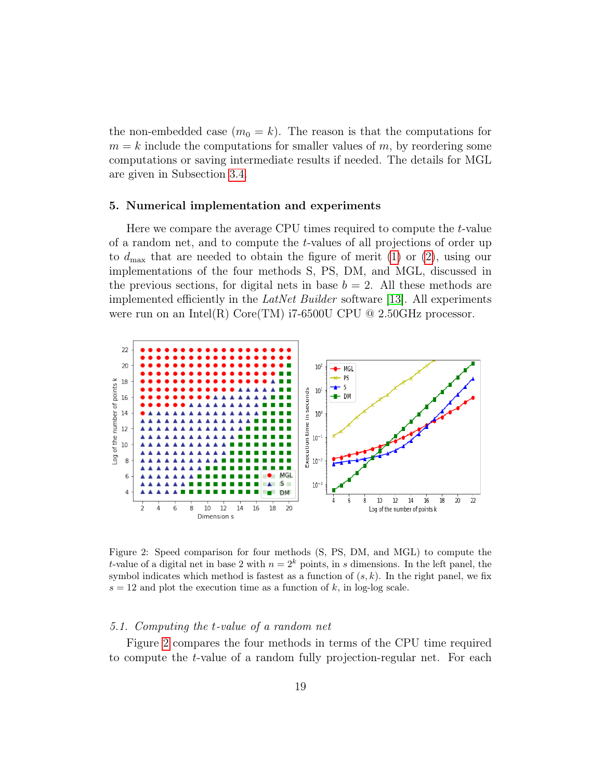the non-embedded case  $(m_0 = k)$ . The reason is that the computations for  $m = k$  include the computations for smaller values of m, by reordering some computations or saving intermediate results if needed. The details for MGL are given in Subsection [3.4.](#page-12-0)

# <span id="page-18-0"></span>5. Numerical implementation and experiments

Here we compare the average CPU times required to compute the t-value of a random net, and to compute the t-values of all projections of order up to  $d_{\text{max}}$  that are needed to obtain the figure of merit [\(1\)](#page-4-0) or [\(2\)](#page-4-1), using our implementations of the four methods S, PS, DM, and MGL, discussed in the previous sections, for digital nets in base  $b = 2$ . All these methods are implemented efficiently in the LatNet Builder software [\[13\]](#page-22-10). All experiments were run on an Intel(R) Core(TM) i7-6500U CPU  $@$  2.50GHz processor.

<span id="page-18-1"></span>

Figure 2: Speed comparison for four methods (S, PS, DM, and MGL) to compute the t-value of a digital net in base 2 with  $n = 2<sup>k</sup>$  points, in s dimensions. In the left panel, the symbol indicates which method is fastest as a function of  $(s, k)$ . In the right panel, we fix  $s = 12$  and plot the execution time as a function of k, in log-log scale.

## 5.1. Computing the t-value of a random net

Figure [2](#page-18-1) compares the four methods in terms of the CPU time required to compute the t-value of a random fully projection-regular net. For each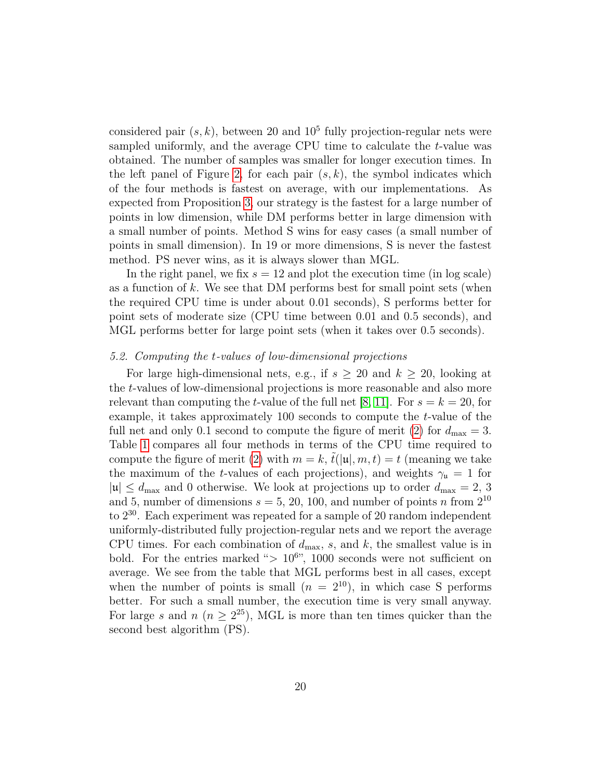considered pair  $(s, k)$ , between 20 and 10<sup>5</sup> fully projection-regular nets were sampled uniformly, and the average CPU time to calculate the t-value was obtained. The number of samples was smaller for longer execution times. In the left panel of Figure [2,](#page-18-1) for each pair  $(s, k)$ , the symbol indicates which of the four methods is fastest on average, with our implementations. As expected from Proposition [3,](#page-14-0) our strategy is the fastest for a large number of points in low dimension, while DM performs better in large dimension with a small number of points. Method S wins for easy cases (a small number of points in small dimension). In 19 or more dimensions, S is never the fastest method. PS never wins, as it is always slower than MGL.

In the right panel, we fix  $s = 12$  and plot the execution time (in log scale) as a function of k. We see that DM performs best for small point sets (when the required CPU time is under about 0.01 seconds), S performs better for point sets of moderate size (CPU time between 0.01 and 0.5 seconds), and MGL performs better for large point sets (when it takes over 0.5 seconds).

# 5.2. Computing the t-values of low-dimensional projections

For large high-dimensional nets, e.g., if  $s \geq 20$  and  $k \geq 20$ , looking at the t-values of low-dimensional projections is more reasonable and also more relevant than computing the t-value of the full net [\[8,](#page-22-8) [11\]](#page-22-0). For  $s = k = 20$ , for example, it takes approximately 100 seconds to compute the t-value of the full net and only 0.1 second to compute the figure of merit [\(2\)](#page-4-1) for  $d_{\text{max}} = 3$ . Table [1](#page-20-0) compares all four methods in terms of the CPU time required to compute the figure of merit [\(2\)](#page-4-1) with  $m = k$ ,  $t(|\mu|, m, t) = t$  (meaning we take the maximum of the t-values of each projections), and weights  $\gamma_{\mu} = 1$  for  $|u| \le d_{\text{max}}$  and 0 otherwise. We look at projections up to order  $d_{\text{max}} = 2, 3$ and 5, number of dimensions  $s = 5, 20, 100$ , and number of points n from  $2^{10}$ to  $2^{30}$ . Each experiment was repeated for a sample of 20 random independent uniformly-distributed fully projection-regular nets and we report the average CPU times. For each combination of  $d_{\text{max}}$ , s, and k, the smallest value is in bold. For the entries marked " $> 10^{6}$ ", 1000 seconds were not sufficient on average. We see from the table that MGL performs best in all cases, except when the number of points is small  $(n = 2^{10})$ , in which case S performs better. For such a small number, the execution time is very small anyway. For large s and  $n (n \geq 2^{25})$ , MGL is more than ten times quicker than the second best algorithm (PS).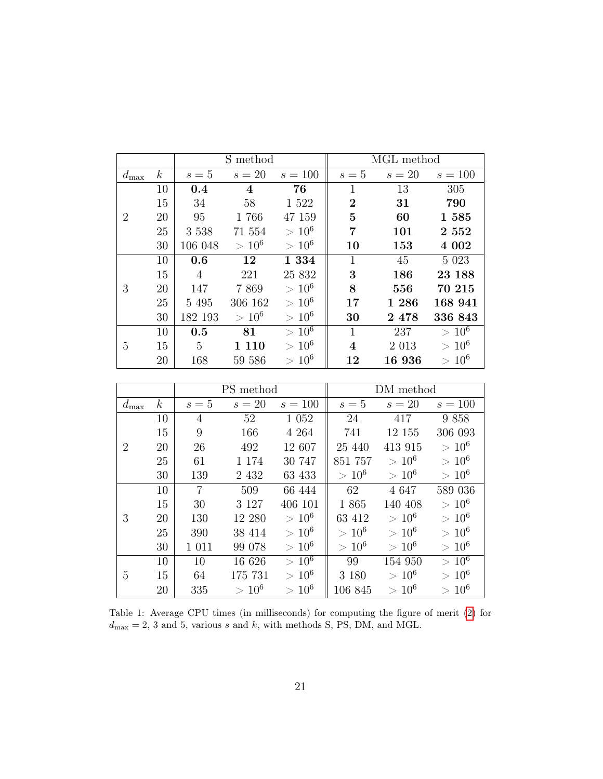<span id="page-20-0"></span>

|                |                  | S method |          |                           | MGL method     |         |           |
|----------------|------------------|----------|----------|---------------------------|----------------|---------|-----------|
| $d_{\max}$     | $\boldsymbol{k}$ | $s=5$    | $s=20$   | $s = 100$                 | $s=5$          | $s=20$  | $s = 100$ |
|                | 10               | 0.4      | 4        | 76                        | 1              | 13      | 305       |
|                | 15               | 34       | 58       | 1 5 2 2                   | $\overline{2}$ | 31      | 790       |
| $\overline{2}$ | 20               | 95       | 1766     | 47 159                    | 5              | 60      | 1 585     |
|                | 25               | 3 5 3 8  | 71 554   | $> 10^6$                  | 7              | 101     | 2 5 5 2   |
|                | 30               | 106 048  | $>10^6$  | $> 10^6$                  | 10             | 153     | 4 0 0 2   |
|                | 10               | 0.6      | 12       | 1 3 3 4                   | 1              | 45      | 5 0 23    |
|                | 15               | 4        | 221      | 25 832                    | 3              | 186     | 23 188    |
| 3              | 20               | 147      | 7869     | $> 10^6$                  | 8              | 556     | 70 215    |
|                | 25               | 5 4 9 5  | 306 162  | $> 10^6$                  | 17             | 1 286   | 168 941   |
|                | 30               | 182 193  | $> 10^6$ | $> 10^6$                  | 30             | 2 478   | 336 843   |
|                | 10               | 0.5      | 81       | $> 10^6$                  | 1              | 237     | $> 10^6$  |
| 5              | 15               | 5        | 110      | $>10^6$                   | 4              | 2 0 1 3 | $> 10^6$  |
|                | 20               | 168      | 59 586   | 10 <sup>6</sup><br>$\geq$ | 12             | 16 936  | $>10^6$   |

|                |                  | PS method |         |                           | DM method |          |            |
|----------------|------------------|-----------|---------|---------------------------|-----------|----------|------------|
| $d_{\max}$     | $\boldsymbol{k}$ | $s=5$     | $s=20$  | $s = 100$                 | $s=5$     | $s=20$   | $s = 100$  |
| $\overline{2}$ | 10               | 4         | 52      | 1 0 5 2                   | 24        | 417      | 9858       |
|                | 15               | 9         | 166     | 4 2 6 4                   | 741       | 12 155   | 306 093    |
|                | 20               | 26        | 492     | 12 607                    | 25 440    | 413 915  | $> 10^6$   |
|                | 25               | 61        | 1 1 7 4 | 30 747                    | 851 757   | $> 10^6$ | $> 10^{6}$ |
|                | 30               | 139       | 2 4 3 2 | 63 433                    | $> 10^6$  | $> 10^6$ | $> 10^6$   |
| 3              | 10               | 7         | 509     | 66 444                    | 62        | 4 6 4 7  | 589 036    |
|                | 15               | 30        | 3 1 2 7 | 406 101                   | 1865      | 140 408  | $> 10^{6}$ |
|                | 20               | 130       | 12 280  | $>10^6$                   | 63 412    | $>10^6$  | $>10^6$    |
|                | 25               | 390       | 38 414  | $> 10^6$                  | $> 10^6$  | $> 10^6$ | $> 10^6$   |
|                | 30               | 1 0 1 1   | 99 078  | $> 10^6$                  | $> 10^6$  | $> 10^6$ | $> 10^6$   |
| 5              | 10               | 10        | 16 626  | $> 10^6$                  | 99        | 154 950  | $> 10^6$   |
|                | 15               | 64        | 175 731 | $> 10^6$                  | 3 1 8 0   | $> 10^6$ | $> 10^6$   |
|                | 20               | 335       | $>10^6$ | 10 <sup>6</sup><br>$\geq$ | 106 845   | $>10^6$  | $>10^6$    |

Table 1: Average CPU times (in milliseconds) for computing the figure of merit [\(2\)](#page-4-1) for  $d_{\text{max}} = 2, 3$  and 5, various s and k, with methods S, PS, DM, and MGL.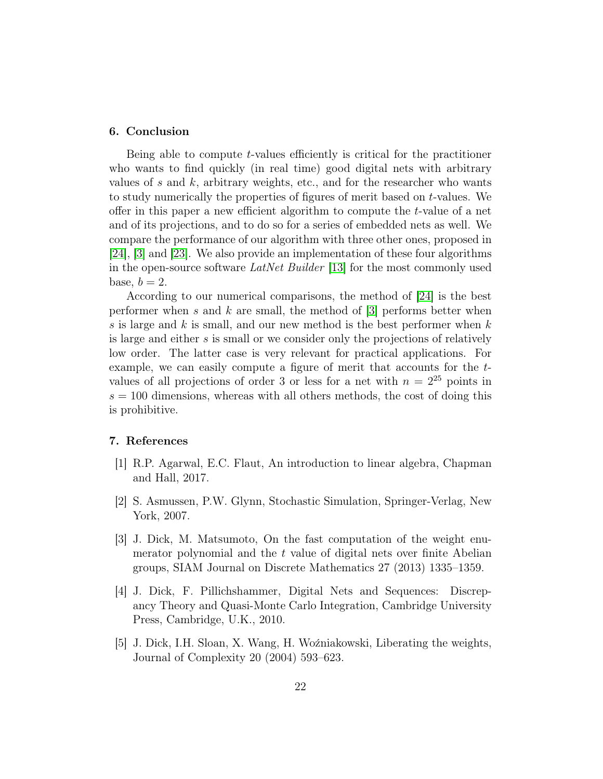# 6. Conclusion

Being able to compute t-values efficiently is critical for the practitioner who wants to find quickly (in real time) good digital nets with arbitrary values of s and  $k$ , arbitrary weights, etc., and for the researcher who wants to study numerically the properties of figures of merit based on t-values. We offer in this paper a new efficient algorithm to compute the  $t$ -value of a net and of its projections, and to do so for a series of embedded nets as well. We compare the performance of our algorithm with three other ones, proposed in [\[24\]](#page-23-4), [\[3\]](#page-21-2) and [\[23\]](#page-23-3). We also provide an implementation of these four algorithms in the open-source software LatNet Builder [\[13\]](#page-22-10) for the most commonly used base,  $b = 2$ .

According to our numerical comparisons, the method of [\[24\]](#page-23-4) is the best performer when s and k are small, the method of  $[3]$  performs better when s is large and  $k$  is small, and our new method is the best performer when  $k$ is large and either s is small or we consider only the projections of relatively low order. The latter case is very relevant for practical applications. For example, we can easily compute a figure of merit that accounts for the tvalues of all projections of order 3 or less for a net with  $n = 2^{25}$  points in  $s = 100$  dimensions, whereas with all others methods, the cost of doing this is prohibitive.

# 7. References

- <span id="page-21-4"></span>[1] R.P. Agarwal, E.C. Flaut, An introduction to linear algebra, Chapman and Hall, 2017.
- <span id="page-21-0"></span>[2] S. Asmussen, P.W. Glynn, Stochastic Simulation, Springer-Verlag, New York, 2007.
- <span id="page-21-2"></span>[3] J. Dick, M. Matsumoto, On the fast computation of the weight enumerator polynomial and the t value of digital nets over finite Abelian groups, SIAM Journal on Discrete Mathematics 27 (2013) 1335–1359.
- <span id="page-21-1"></span>[4] J. Dick, F. Pillichshammer, Digital Nets and Sequences: Discrepancy Theory and Quasi-Monte Carlo Integration, Cambridge University Press, Cambridge, U.K., 2010.
- <span id="page-21-3"></span>[5] J. Dick, I.H. Sloan, X. Wang, H. Woźniakowski, Liberating the weights, Journal of Complexity 20 (2004) 593–623.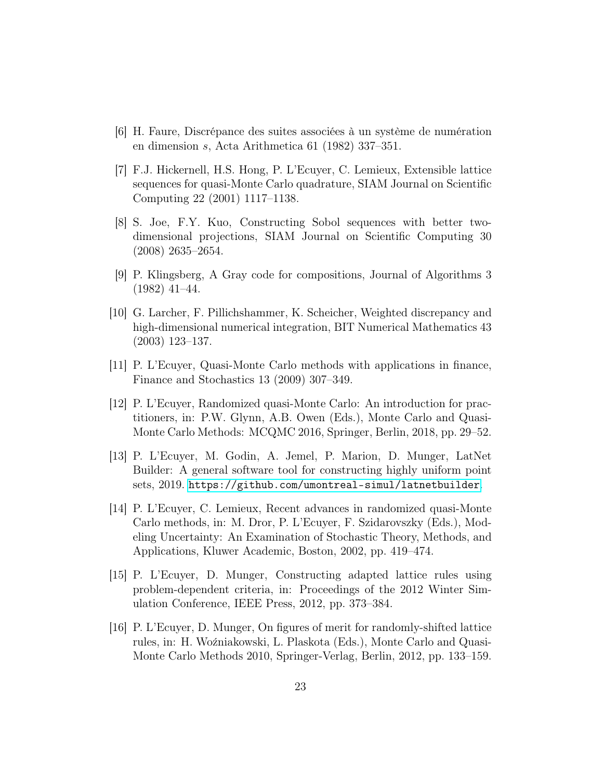- <span id="page-22-3"></span>[6] H. Faure, Discrépance des suites associées à un système de numération en dimension s, Acta Arithmetica 61 (1982) 337–351.
- <span id="page-22-2"></span>[7] F.J. Hickernell, H.S. Hong, P. L'Ecuyer, C. Lemieux, Extensible lattice sequences for quasi-Monte Carlo quadrature, SIAM Journal on Scientific Computing 22 (2001) 1117–1138.
- <span id="page-22-8"></span>[8] S. Joe, F.Y. Kuo, Constructing Sobol sequences with better twodimensional projections, SIAM Journal on Scientific Computing 30 (2008) 2635–2654.
- <span id="page-22-9"></span>[9] P. Klingsberg, A Gray code for compositions, Journal of Algorithms 3 (1982) 41–44.
- <span id="page-22-7"></span>[10] G. Larcher, F. Pillichshammer, K. Scheicher, Weighted discrepancy and high-dimensional numerical integration, BIT Numerical Mathematics 43 (2003) 123–137.
- <span id="page-22-0"></span>[11] P. L'Ecuyer, Quasi-Monte Carlo methods with applications in finance, Finance and Stochastics 13 (2009) 307–349.
- <span id="page-22-1"></span>[12] P. L'Ecuyer, Randomized quasi-Monte Carlo: An introduction for practitioners, in: P.W. Glynn, A.B. Owen (Eds.), Monte Carlo and Quasi-Monte Carlo Methods: MCQMC 2016, Springer, Berlin, 2018, pp. 29–52.
- <span id="page-22-10"></span>[13] P. L'Ecuyer, M. Godin, A. Jemel, P. Marion, D. Munger, LatNet Builder: A general software tool for constructing highly uniform point sets, 2019. <https://github.com/umontreal-simul/latnetbuilder>.
- <span id="page-22-4"></span>[14] P. L'Ecuyer, C. Lemieux, Recent advances in randomized quasi-Monte Carlo methods, in: M. Dror, P. L'Ecuyer, F. Szidarovszky (Eds.), Modeling Uncertainty: An Examination of Stochastic Theory, Methods, and Applications, Kluwer Academic, Boston, 2002, pp. 419–474.
- <span id="page-22-5"></span>[15] P. L'Ecuyer, D. Munger, Constructing adapted lattice rules using problem-dependent criteria, in: Proceedings of the 2012 Winter Simulation Conference, IEEE Press, 2012, pp. 373–384.
- <span id="page-22-6"></span>[16] P. L'Ecuyer, D. Munger, On figures of merit for randomly-shifted lattice rules, in: H. Woźniakowski, L. Plaskota (Eds.), Monte Carlo and Quasi-Monte Carlo Methods 2010, Springer-Verlag, Berlin, 2012, pp. 133–159.